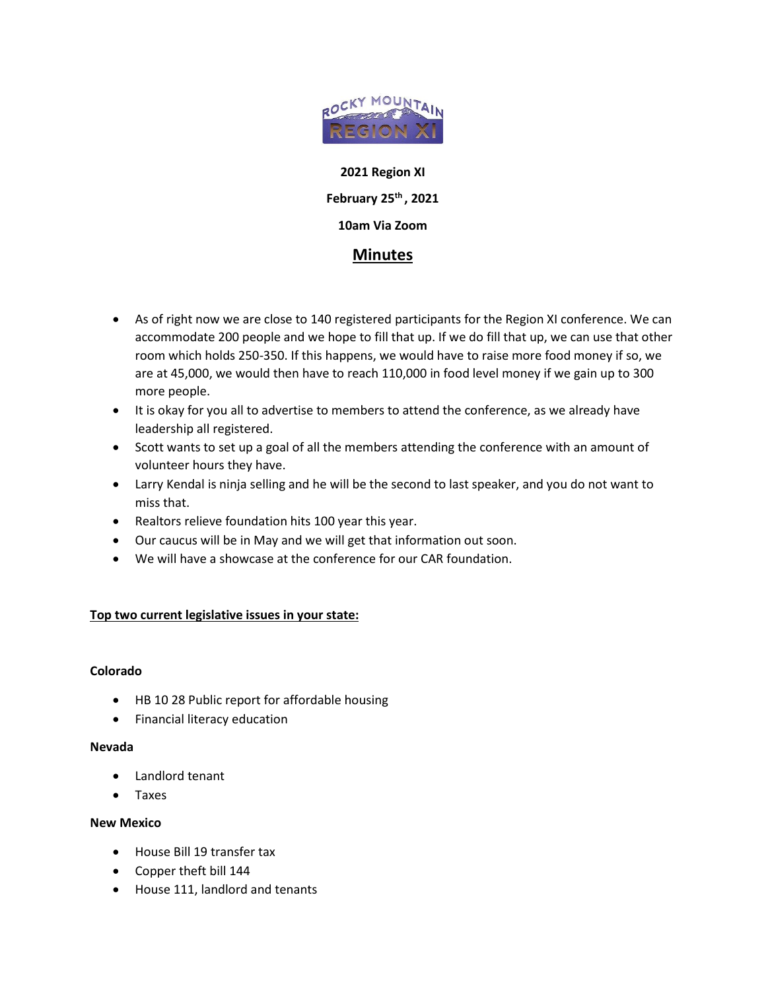

**2021 Region XI February 25th , 2021 10am Via Zoom**

# **Minutes**

- As of right now we are close to 140 registered participants for the Region XI conference. We can accommodate 200 people and we hope to fill that up. If we do fill that up, we can use that other room which holds 250-350. If this happens, we would have to raise more food money if so, we are at 45,000, we would then have to reach 110,000 in food level money if we gain up to 300 more people.
- It is okay for you all to advertise to members to attend the conference, as we already have leadership all registered.
- Scott wants to set up a goal of all the members attending the conference with an amount of volunteer hours they have.
- Larry Kendal is ninja selling and he will be the second to last speaker, and you do not want to miss that.
- Realtors relieve foundation hits 100 year this year.
- Our caucus will be in May and we will get that information out soon.
- We will have a showcase at the conference for our CAR foundation.

# **Top two current legislative issues in your state:**

# **Colorado**

- HB 10 28 Public report for affordable housing
- Financial literacy education

# **Nevada**

- Landlord tenant
- Taxes

# **New Mexico**

- House Bill 19 transfer tax
- Copper theft bill 144
- House 111, landlord and tenants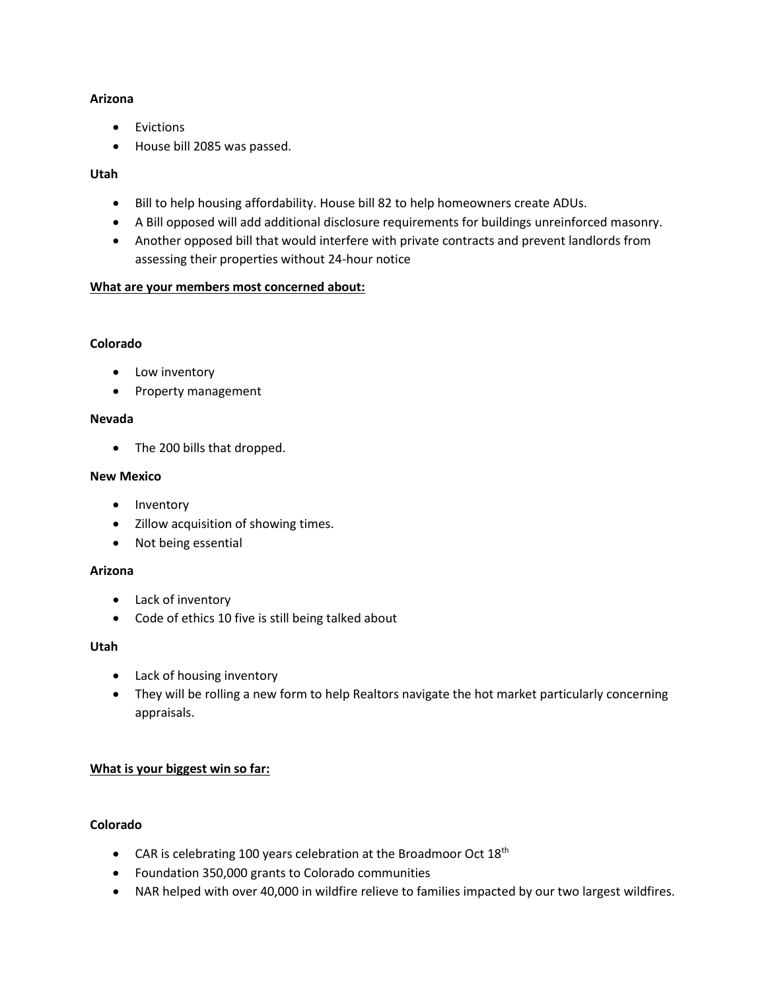# **Arizona**

- Evictions
- House bill 2085 was passed.

# **Utah**

- Bill to help housing affordability. House bill 82 to help homeowners create ADUs.
- A Bill opposed will add additional disclosure requirements for buildings unreinforced masonry.
- Another opposed bill that would interfere with private contracts and prevent landlords from assessing their properties without 24-hour notice

# **What are your members most concerned about:**

#### **Colorado**

- Low inventory
- Property management

#### **Nevada**

• The 200 bills that dropped.

#### **New Mexico**

- Inventory
- Zillow acquisition of showing times.
- Not being essential

# **Arizona**

- Lack of inventory
- Code of ethics 10 five is still being talked about

# **Utah**

- Lack of housing inventory
- They will be rolling a new form to help Realtors navigate the hot market particularly concerning appraisals.

# **What is your biggest win so far:**

# **Colorado**

- CAR is celebrating 100 years celebration at the Broadmoor Oct  $18<sup>th</sup>$
- Foundation 350,000 grants to Colorado communities
- NAR helped with over 40,000 in wildfire relieve to families impacted by our two largest wildfires.